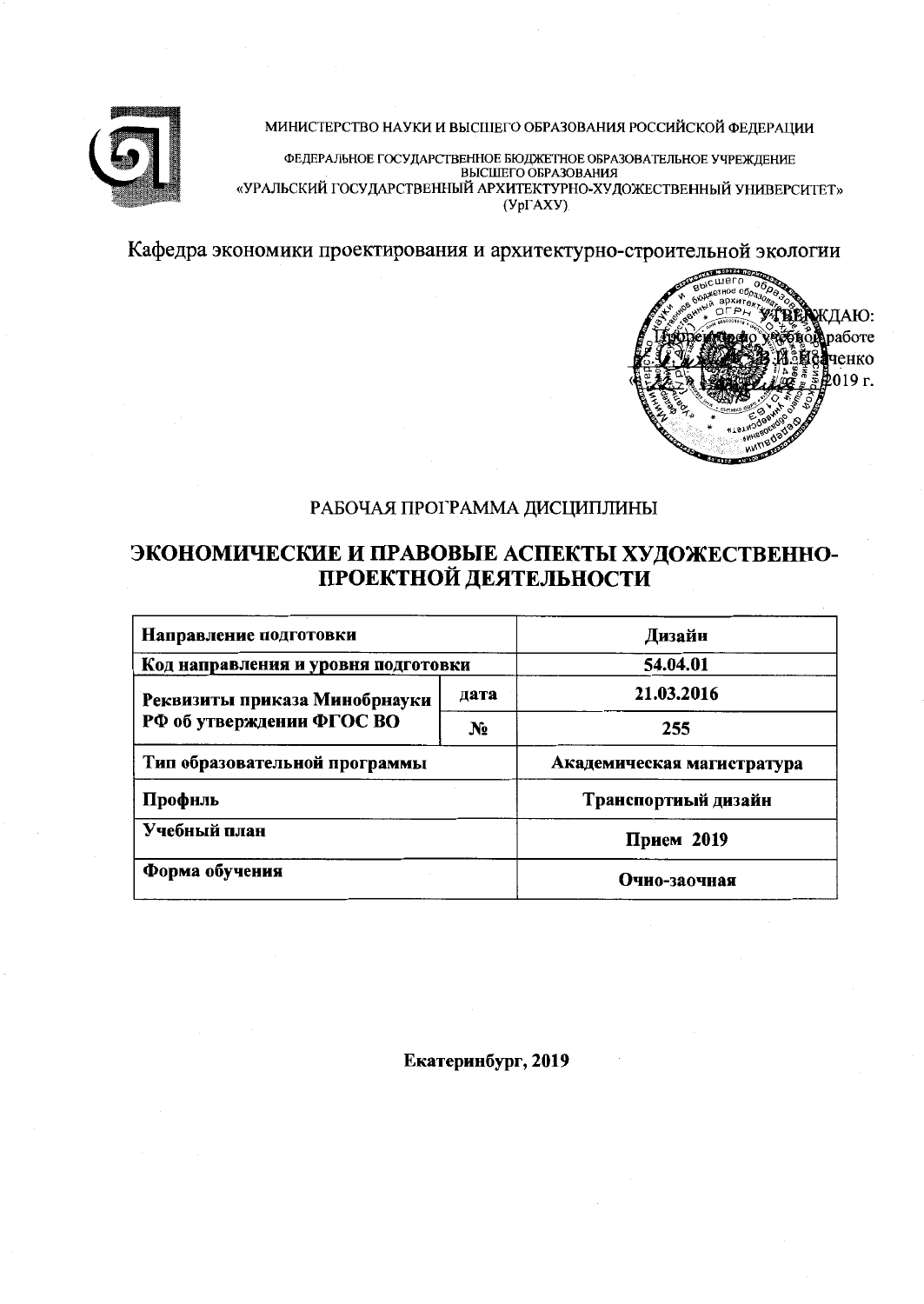

МИНИСТЕРСТВО НАУКИ И ВЫСШЕГО ОБРАЗОВАНИЯ РОССИЙСКОЙ ФЕДЕРАЦИИ

ФЕДЕРАЛЬНОЕ ГОСУДАРСТВЕННОЕ БЮДЖЕТНОЕ ОБРАЗОВАТЕЛЬНОЕ УЧРЕЖДЕНИЕ «УРАЛЬСКИЙ ГОСУДАРСТВЕННЫЙ АРХИТЕКТУРНО-ХУДОЖЕСТВЕННЫЙ УНИВЕРСИТЕТ»  $(Yp\Gamma AXY)$ 

Кафедра экономики проектирования и архитектурно-строительной экологии



# РАБОЧАЯ ПРОГРАММА ДИСЦИПЛИНЫ

# ЭКОНОМИЧЕСКИЕ И ПРАВОВЫЕ АСПЕКТЫ ХУДОЖЕСТВЕННО-ПРОЕКТНОЙ ДЕЯТЕЛЬНОСТИ

| Направление подготовки              | Дизайн                     |  |  |
|-------------------------------------|----------------------------|--|--|
| Код направления и уровня подготовки | 54.04.01                   |  |  |
| Реквизиты приказа Минобрнауки       | 21.03.2016                 |  |  |
| РФ об утверждении ФГОС ВО           | 255                        |  |  |
| Тип образовательной программы       | Академическая магистратура |  |  |
| Профиль                             | Транспортиый дизайн        |  |  |
| Учебный план                        | Прием 2019                 |  |  |
| Форма обучения                      | Очио-заочная               |  |  |

Екатеринбург, 2019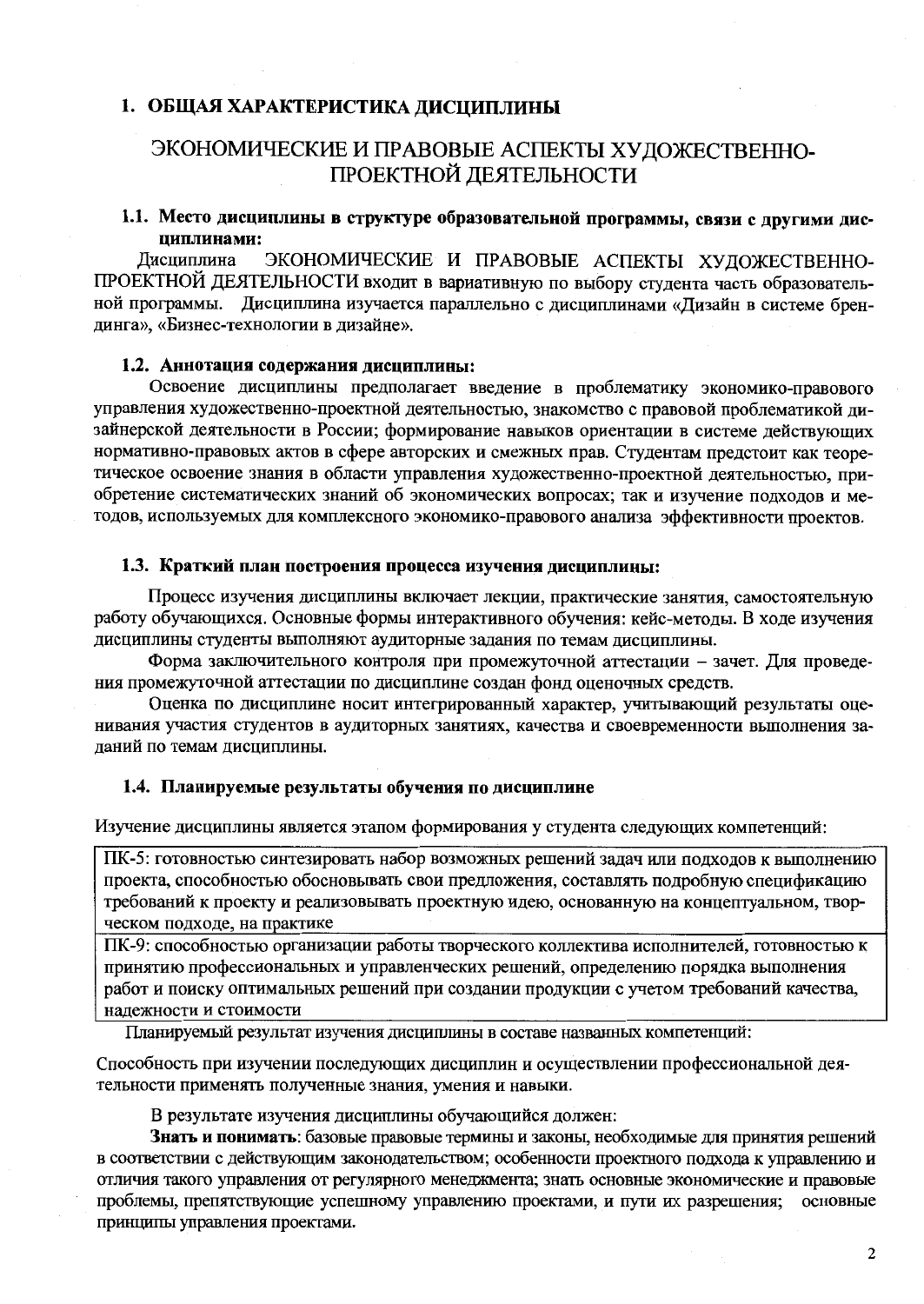#### 1. ОБЩАЯ ХАРАКТЕРИСТИКА ДИСЦИПЛИНЫ

# ЭКОНОМИЧЕСКИЕ И ПРАВОВЫЕ АСПЕКТЫ ХУДОЖЕСТВЕННО-ПРОЕКТНОЙ ДЕЯТЕЛЬНОСТИ

#### 1.1. Место дисциплины в структуре образовательной программы, связи с другими дисциплинами:

Дисциплина ЭКОНОМИЧЕСКИЕ И ПРАВОВЫЕ АСПЕКТЫ ХУДОЖЕСТВЕННО-ПРОЕКТНОЙ ДЕЯТЕЛЬНОСТИ входит в вариативную по выбору студента часть образовательной программы. Дисциплина изучается параллельно с дисциплинами «Дизайн в системе брендинга», «Бизнес-технологии в дизайне».

#### 1.2. Аннотация содержания дисциплины:

Освоение дисциплины предполагает введение в проблематику экономико-правового управления художественно-проектной деятельностью, знакомство с правовой проблематикой дизайнерской деятельности в России; формирование навыков ориентации в системе действующих нормативно-правовых актов в сфере авторских и смежных прав. Студентам предстоит как теоретическое освоение знания в области управления художественно-проектной деятельностью, приобретение систематических знаний об экономических вопросах; так и изучение подходов и методов, используемых для комплексного экономико-правового анализа эффективности проектов.

#### 1.3. Краткий план построения процесса изучения дисциплины:

Процесс изучения дисциплины включает лекции, практические занятия, самостоятельную работу обучающихся. Основные формы интерактивного обучения: кейс-методы. В ходе изучения дисциплины студенты выполняют аудиторные задания по темам дисциплины.

Форма заключительного контроля при промежуточной аттестации - зачет. Для проведения промежуточной аттестации по дисциплине создан фонд оценочных средств.

Оценка по дисциплине носит интегрированный характер, учитывающий результаты оценивания участия студентов в аудиторных занятиях, качества и своевременности выполнения заданий по темам дисциплины.

#### 1.4. Планируемые результаты обучения по дисциплине

Изучение дисциплины является этапом формирования у студента следующих компетенций:

ПК-5: готовностью синтезировать набор возможных решений задач или подходов к выполнению проекта, способностью обосновывать свои предложения, составлять подробную спецификацию требований к проекту и реализовывать проектную идею, основанную на концептуальном, творческом подходе, на практике

ПК-9: способностью организации работы творческого коллектива исполнителей, готовностью к принятию профессиональных и управленческих решений, определению порядка выполнения работ и поиску оптимальных решений при создании продукции с учетом требований качества, надежности и стоимости

Планируемый результат изучения дисциплины в составе названных компетенций:

Способность при изучении последующих дисциплин и осуществлении профессиональной деятельности применять полученные знания, умения и навыки.

В результате изучения дисциплины обучающийся должен:

Знать и понимать: базовые правовые термины и законы, необходимые для принятия решений в соответствии с действующим законодательством; особенности проектного подхода к управлению и отличия такого управления от регулярного менеджмента; знать основные экономические и правовые проблемы, препятствующие успешному управлению проектами, и пути их разрешения; основные принципы управления проектами.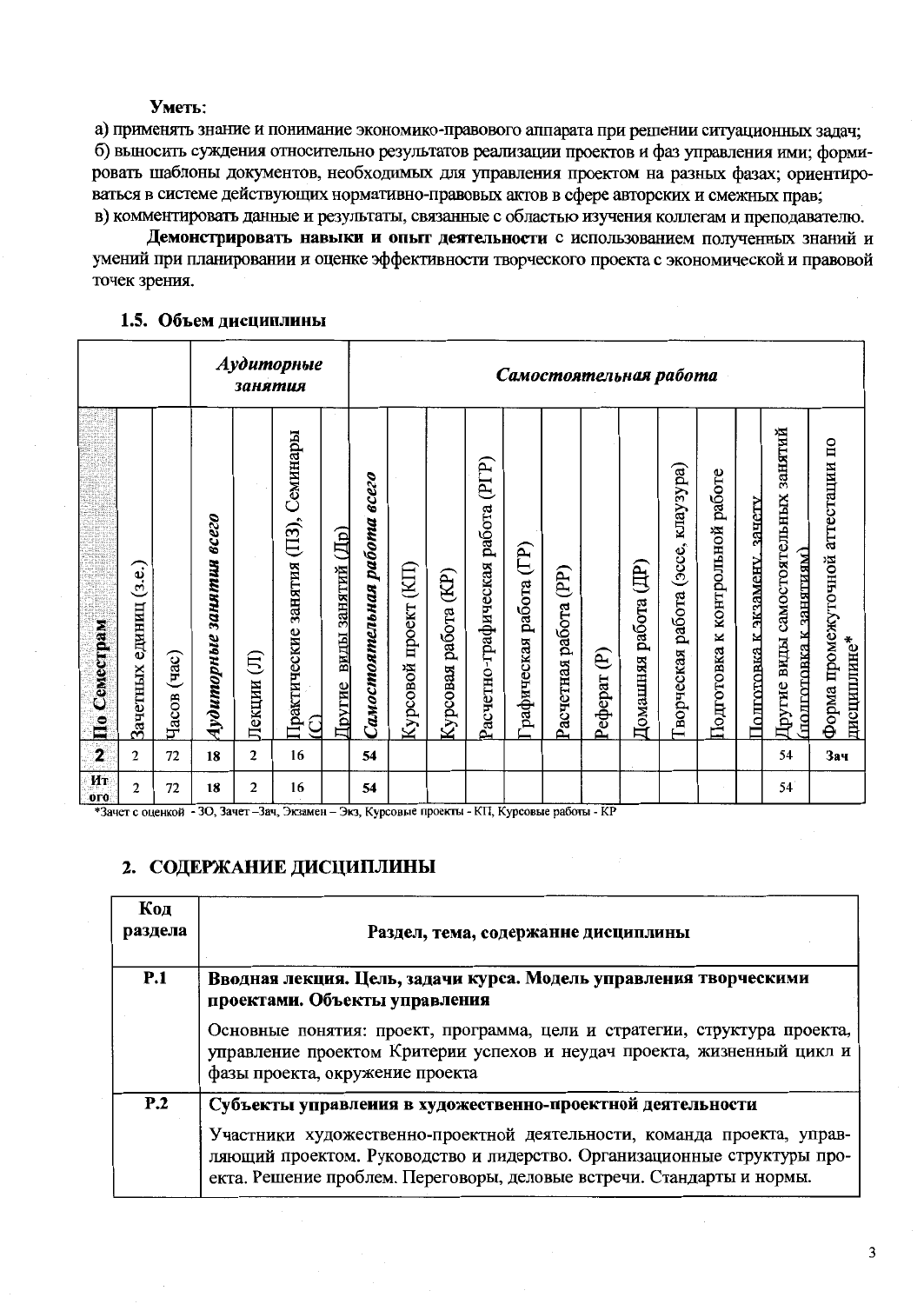#### Уметь:

а) применять знание и понимание экономико-правового аппарата при решении ситуационных залач: б) выносить суждения относительно результатов реализации проектов и фаз управления ими; формировать шаблоны документов, необходимых для управления проектом на разных фазах; ориентироваться в системе действующих нормативно-правовых актов в сфере авторских и смежных прав: в) комментировать данные и результаты, связанные с областью изучения коллегам и преподавателю.

Демонстрировать навыки и опыт деятельности с использованием полученных знаний и умений при планировании и оценке эффективности творческого проекта с экономической и правовой точек зрения.

#### 1.5. Объем дисциплины

|                      |                              |                      |                             | занятия        | Аудиторные                                 |                                 | Самостоятельная работа       |                                   |                            |                                   |                        |                       |              |                         |                                              |                                    |                                  |                                                                  |                                                  |
|----------------------|------------------------------|----------------------|-----------------------------|----------------|--------------------------------------------|---------------------------------|------------------------------|-----------------------------------|----------------------------|-----------------------------------|------------------------|-----------------------|--------------|-------------------------|----------------------------------------------|------------------------------------|----------------------------------|------------------------------------------------------------------|--------------------------------------------------|
| По Семестрам         | (3.2.)<br>единиц<br>Зачетных | $($ час $)$<br>Часов | занятия всего<br>Аудиторные | €<br>Лекции    | Практические занятия (ПЗ), Семинары<br>ପ୍ର | (IIp)<br>виды занятий<br>Другие | Самостоятельная работа всего | $(\text{KII})$<br>Курсовой проект | (KP)<br>работа<br>Курсовая | Расчетно-графическая работа (PГР) | рафическая работа (ГР) | Расчетная работа (PP) | ව<br>Реферат | (IP)<br>Домашняя работа | KITAY3YPA)<br>(acce,<br>работа<br>Гворческая | работе<br>Подготовка к контрольной | зачету<br>Полготовка к экзамену. | занятий<br>Другие виды самостоятельных<br>полготовка к занятиям) | Форма промежуточной агтестации по<br>дисциплине* |
| $\mathbf{z}$         | $\overline{2}$               | 72                   | 18                          | $\overline{2}$ | 16                                         |                                 | 54                           |                                   |                            |                                   |                        |                       |              |                         |                                              |                                    |                                  | 54                                                               | Зач                                              |
| Ит<br>0 <sub>0</sub> | $\overline{2}$               | 72                   | 18                          | $\mathbf{2}$   | 16                                         |                                 | 54                           |                                   |                            |                                   |                        |                       |              |                         |                                              |                                    |                                  | 54                                                               |                                                  |

\*Зачет с оценкой - 30, Зачет - Зач, Экзамен - Экз, Курсовые проекты - КП, Курсовые работы - КР

### 2. СОДЕРЖАНИЕ ДИСЦИПЛИНЫ

| Код<br>раздела | Раздел, тема, содержанне дисциплины                                                                                                                                                                                                                                                         |
|----------------|---------------------------------------------------------------------------------------------------------------------------------------------------------------------------------------------------------------------------------------------------------------------------------------------|
| P.1            | Вводная лекция. Цель, задачи курса. Модель управления творческими<br>проектами. Объекты управления                                                                                                                                                                                          |
|                | Основные понятия: проект, программа, цели и стратегии, структура проекта,<br>управление проектом Критерии успехов и неудач проекта, жизненный цикл и<br>фазы проекта, окружение проекта                                                                                                     |
| P.2            | Субъекты управления в художественно-проектной деятельности<br>Участники художественно-проектной деятельности, команда проекта, управ-<br>ляющий проектом. Руководство и лидерство. Организационные структуры про-<br>екта. Решение проблем. Переговоры, деловые встречи. Стандарты и нормы. |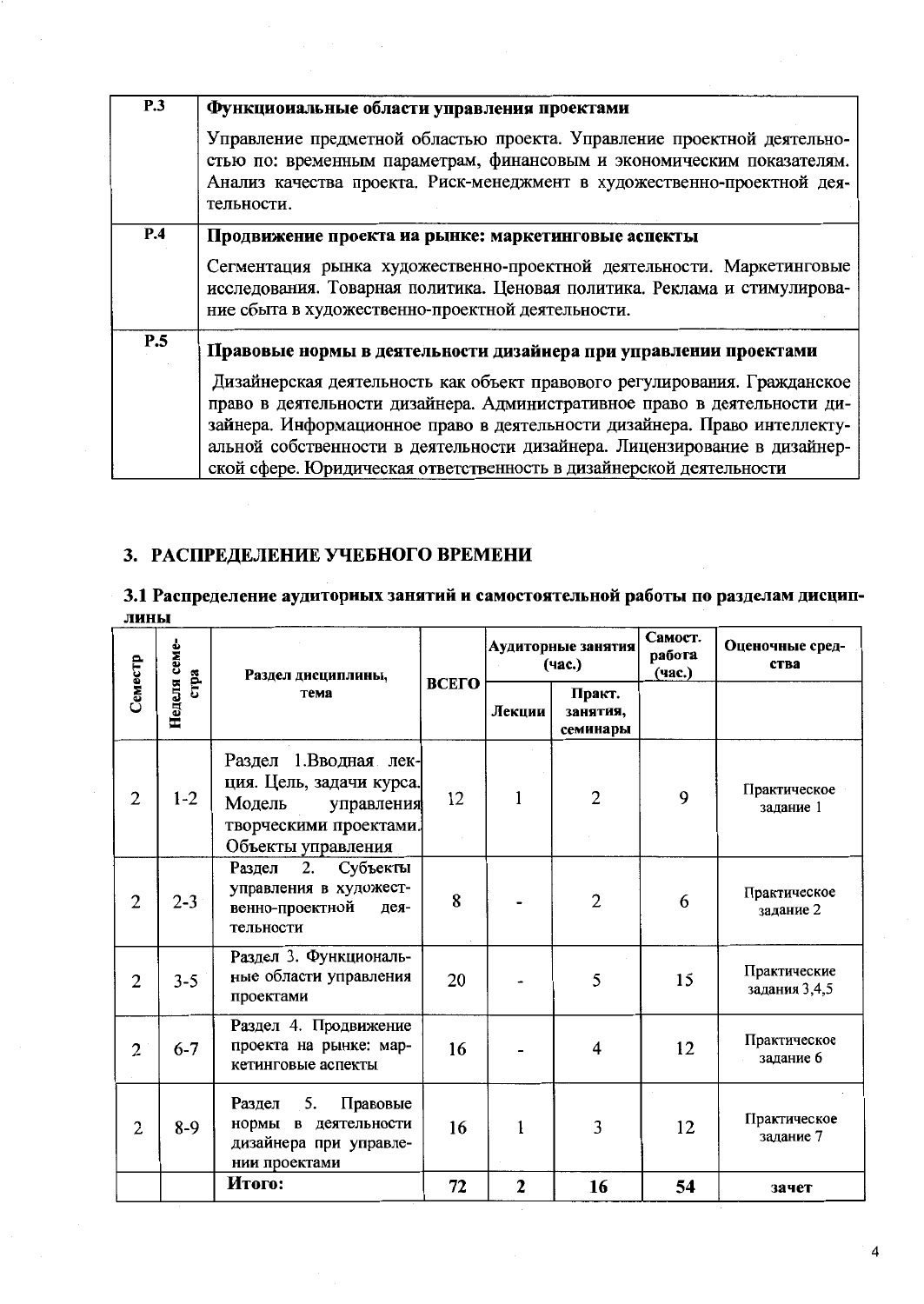| <b>P.3</b> | Функциоиальные области управления проектами                                                                                                                                                                                                                                                                                                                                             |
|------------|-----------------------------------------------------------------------------------------------------------------------------------------------------------------------------------------------------------------------------------------------------------------------------------------------------------------------------------------------------------------------------------------|
|            | Управление предметной областью проекта. Управление проектной деятельно-<br>стью по: временным параметрам, финансовым и экономическим показателям.<br>Анализ качества проекта. Риск-менеджмент в художественно-проектной дея-<br>тельности.                                                                                                                                              |
| P.4        | Продвижение проекта иа рынке: маркетинговые аспекты                                                                                                                                                                                                                                                                                                                                     |
|            | Сегментация рынка художественно-проектной деятельности. Маркетинговые<br>исследования. Товарная политика. Ценовая политика. Реклама и стимулирова-<br>ние сбыта в художественно-проектной деятельности.                                                                                                                                                                                 |
| P.5        | Правовые нормы в деятельности дизайнера при управлении проектами                                                                                                                                                                                                                                                                                                                        |
|            | Дизайнерская деятельность как объект правового регулирования. Гражданское<br>право в деятельности дизайнера. Административное право в деятельности ди-<br>зайнера. Информационное право в деятельности дизайнера. Право интеллекту-<br>альной собственности в деятельности дизайнера. Лицензирование в дизайнер-<br>ской сфере. Юридическая ответственность в дизайнерской деятельности |

# 3. РАСПРЕДЕЛЕНИЕ УЧЕБНОГО ВРЕМЕНИ

# 3.1 Распределение аудиториых занятий и самостоятельной работы по разделам дисциплины

|                |                      | Раздел дисциплины,                                                                                                        |       |              | Аудиторные занятия<br>(час.)   | Самост.<br>работа<br>(час.) | Оценочные сред-<br>ства       |
|----------------|----------------------|---------------------------------------------------------------------------------------------------------------------------|-------|--------------|--------------------------------|-----------------------------|-------------------------------|
| Семестр        | Неделя семе-<br>стра | тема                                                                                                                      | ВСЕГО | Лекции       | Практ.<br>занятия,<br>семинары |                             |                               |
| $\overline{2}$ | $1 - 2$              | Раздел 1.Вводная лек-<br>ция. Цель, задачи курса.<br>Модель<br>управления<br>творческими проектами.<br>Объекты управления | 12    | $\mathbf{1}$ | $\overline{2}$                 | 9                           | Практическое<br>задание 1     |
| $\overline{2}$ | $2 - 3$              | Субъекты<br>Раздел<br>2.<br>управления в художест-<br>венно-проектной<br>дея-<br>тельности                                | 8     |              | $\overline{2}$                 | 6                           | Практическое<br>задание 2     |
| $\overline{2}$ | $3 - 5$              | Раздел 3. Функциональ-<br>ные области управления<br>проектами                                                             | 20    |              | 5                              | 15                          | Практические<br>задания 3,4,5 |
| $\overline{2}$ | $6 - 7$              | Раздел 4. Продвижение<br>проекта на рынке: мар-<br>кетинговые аспекты                                                     | 16    |              | $\overline{4}$                 | 12                          | Практическое<br>задание 6     |
| $\overline{2}$ | $8-9$                | 5.<br>Правовые<br>Раздел<br>нормы в деятельности<br>дизайнера при управле-<br>нии проектами                               | 16    |              | 3                              | 12                          | Практическое<br>задание 7     |
|                |                      | Итого:                                                                                                                    | 72    | $\mathbf{2}$ | 16                             | 54                          | зачет                         |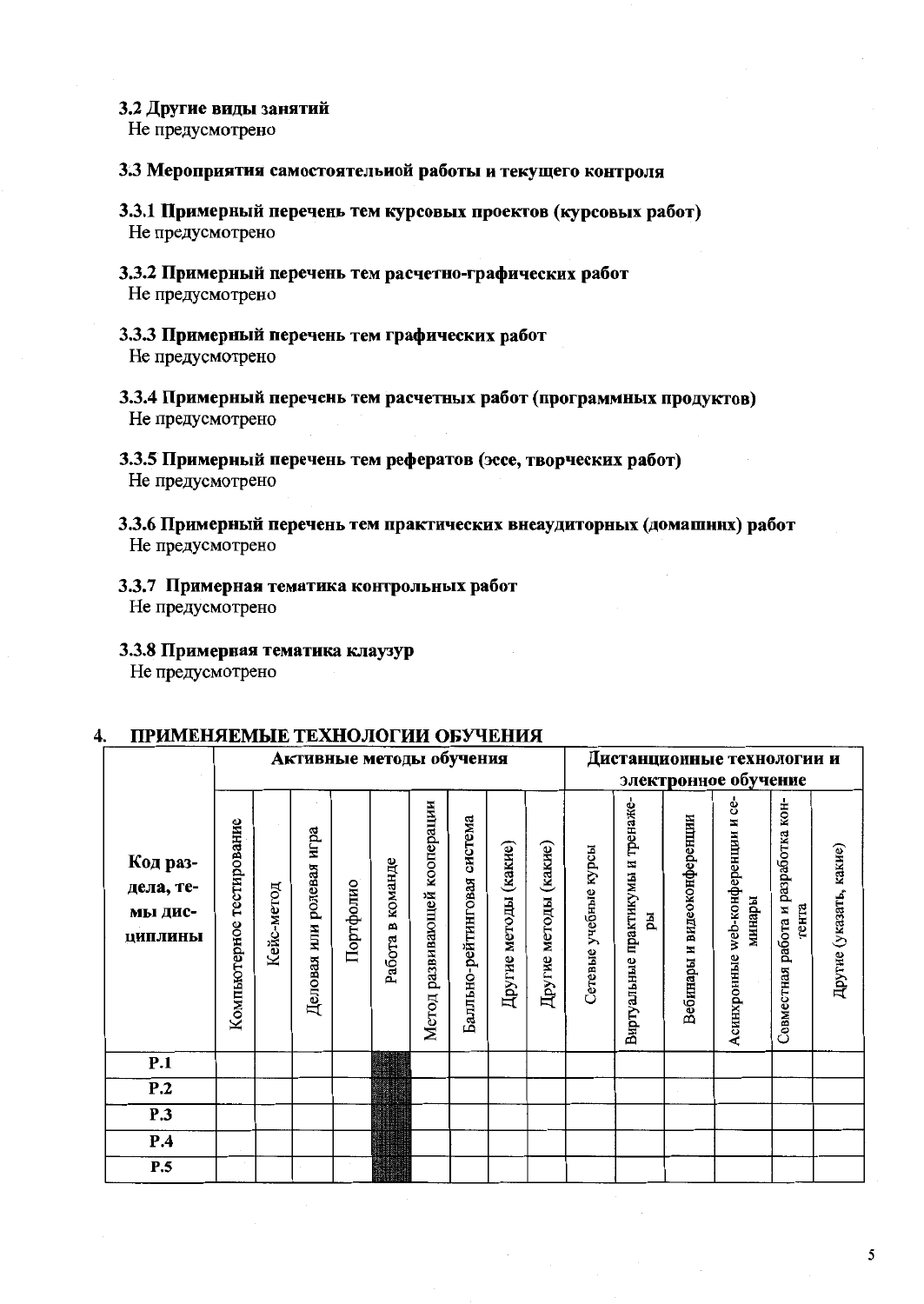#### 3.2 Другие виды занятий

Не предусмотрено

#### 3.3 Мероприятия самостоятельной работы и текущего контроля

- 3.3.1 Примерный перечень тем курсовых проектов (курсовых работ) Не предусмотрено
- 3.3.2 Примерный перечень тем расчетно-графических работ Не предусмотрено
- 3.3.3 Примерный перечень тем графических работ Не предусмотрено
- 3.3.4 Примерный перечень тем расчетных работ (программных продуктов) Не предусмотрено
- 3.3.5 Примерный перечень тем рефератов (эссе, творческих работ) Не предусмотрено
- 3.3.6 Примерный перечень тем практических внеаудиторных (домашних) работ Не предусмотрено
- 3.3.7 Примерная тематика контрольных работ Не предусмотрено
- 3.3.8 Примерная тематика клаузур Не предусмотрено

#### Дистанционные технологии и Активные методы обучения электронное обучение Виртуальные практикумы и тренаже-Асинхронные web-конференции и се-Метод развивающей кооперации Совместная работа и разработка кон-Балльно-рейтинговая система Зебинары и видеоконференции Компьютерное тестирование Деловая или ролевая игра Другие методы (какие) Другие методы (какие) Сетевые учебные курсы Другие (указать, какие) Код раз-Работа в команде дела, те-Портфолио Кейс-метод минары тента мы дисpы **ПИПЛИНЫ**  $\overline{P.1}$  $\overline{P.2}$  $\overline{P.3}$  $P.4$  $\overline{P.5}$

#### ПРИМЕНЯЕМЫЕ ТЕХНОЛОГИИ ОБУЧЕНИЯ 4.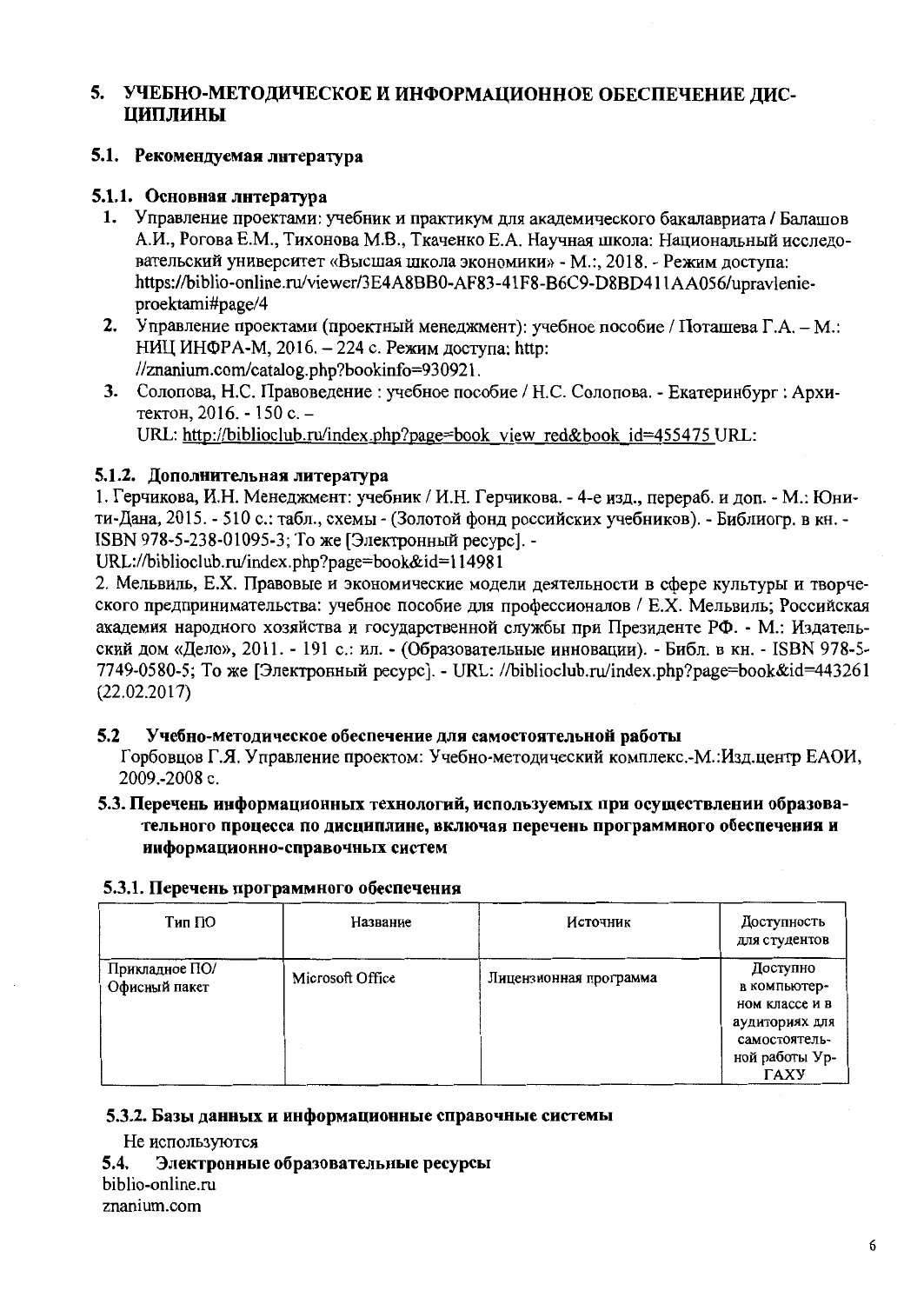# 5. УЧЕБНО-МЕТОДИЧЕСКОЕ И ИНФОРМАЦИОННОЕ ОБЕСПЕЧЕНИЕ ЛИС-ЦИПЛИНЫ

# 5.1. Рекомендуемая литература

# 5.1.1. Основная литература

- 1. Управление проектами: учебник и практикум для акалемического бакалавриата / Балашов А.И., Рогова Е.М., Тихонова М.В., Ткаченко Е.А. Научная школа: Национальный исследовательский университет «Высшая школа экономики» - М.:, 2018. - Режим доступа: https://biblio-online.ru/viewer/3E4A8BB0-AF83-41F8-B6C9-D8BD411AA056/upravlenieproektami#page/4
- 2. Управление проектами (проектный менеджмент): учебное пособие / Поташева Г.А. М.: НИЦ ИНФРА-М, 2016. - 224 с. Режим доступа: http: //znanium.com/catalog.php?bookinfo=930921.
- 3. Солопова, Н.С. Правоведение : учебное пособие / Н.С. Солопова. Екатеринбург : Архитектон. 2016. - 150 с. -URL: http://biblioclub.ru/index.php?page=book view red&book id=455475 URL:

# 5.1.2. Дополнительная литература

1. Герчикова, И.Н. Менеджмент: учебник / И.Н. Герчикова. - 4-е изд., перераб. и доп. - М.: Юнити-Лана, 2015. - 510 с.: табл., схемы - (Золотой фонд российских учебников). - Библиогр. в кн. -ISBN 978-5-238-01095-3; То же [Электронный ресурс]. -

URL://biblioclub.ru/index.php?page=book&id=114981

2. Мельвиль, Е.Х. Правовые и экономические модели деятельности в сфере культуры и творческого предпринимательства: учебное пособие для профессионалов / Е.Х. Мельвиль; Российская академия народного хозяйства и государственной службы при Президенте РФ. - М.: Издательский дом «Дело», 2011. - 191 с.: ил. - (Образовательные инновации). - Библ. в кн. - ISBN 978-5-7749-0580-5; То же [Электронный ресурс]. - URL: //biblioclub.ru/index.php?page=book&id=443261  $(22.02.2017)$ 

#### $5.2$ Учебно-методическое обеспечение для самостоятельной работы

Горбовцов Г.Я. Управление проектом: Учебно-методический комплекс.-М.:Изд.центр ЕАОИ, 2009.-2008 с.

# 5.3. Перечень информационных технологий, используемых при осуществлении образовательного процесса по дисциплине, включая перечень программного обеспечения и информационно-справочных систем

| Тип ПО                          | Название         | Источник               | Доступность<br>для студентов                                                                                   |
|---------------------------------|------------------|------------------------|----------------------------------------------------------------------------------------------------------------|
| Прикладное ПО/<br>Офисный пакет | Microsoft Office | Лицензионная программа | Доступно<br>в компьютер-<br>ном классе и в<br>аудиториях для<br>самостоятель-<br>ной работы Ур-<br><b>TAXY</b> |

# 5.3.1. Перечень программного обеспечения

# 5.3.2. Базы данных и информационные справочные системы

Не используются

 $5.4.$ Электронные образовательные ресурсы biblio-online.ru

znanium.com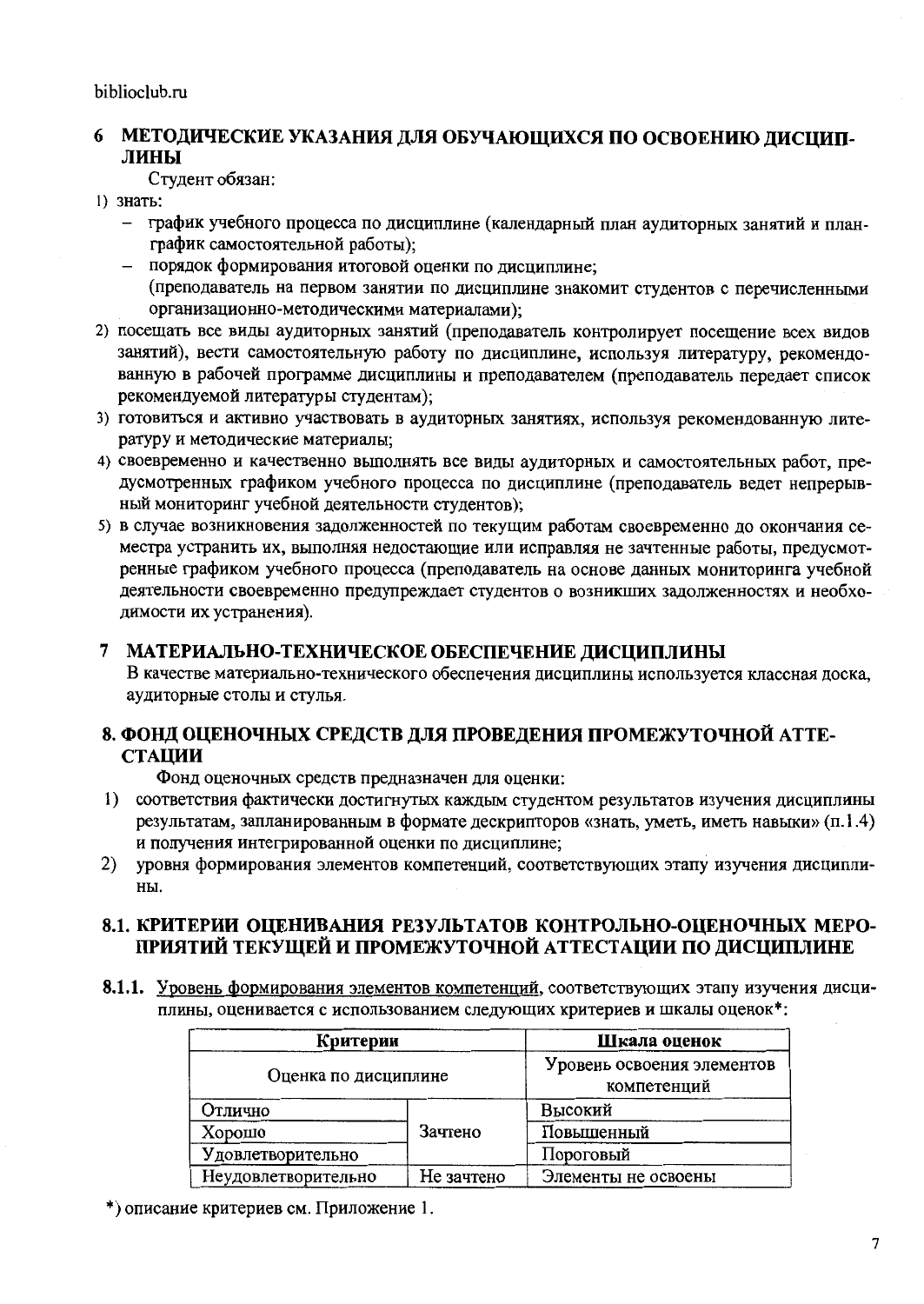# 6 МЕТОДИЧЕСКИЕ УКАЗАНИЯ ДЛЯ ОБУЧАЮЩИХСЯ ПО ОСВОЕНИЮ ДИСЦИПлины

Студент обязан:

- 1) знать:
	- график учебного процесса по дисциплине (календарный план аудиторных занятий и планграфик самостоятельной работы);
	- порядок формирования итоговой оценки по дисциплине; (преподаватель на первом занятии по дисциплине знакомит студентов с перечисленными организационно-методическими материалами);
- 2) посещать все виды аудиторных занятий (преподаватель контролирует посещение всех видов занятий), вести самостоятельную работу по дисциплине, используя литературу, рекомендованную в рабочей программе дисциплины и преподавателем (преподаватель передает список рекомендуемой литературы студентам);
- 3) готовиться и активно участвовать в аудиторных занятиях, используя рекомендованную литературу и методические материалы;
- 4) своевременно и качественно выполнять все виды аудиторных и самостоятельных работ, предусмотренных графиком учебного процесса по дисциплине (преподаватель ведет непрерывный мониторинг учебной деятельности студентов);
- 5) в случае возникновения задолженностей по текущим работам своевременно до окончания семестра устранить их, выполняя недостающие или исправляя не зачтенные работы, предусмотренные графиком учебного процесса (преподаватель на основе данных мониторинга учебной деятельности своевременно предупреждает студентов о возникших задолженностях и необходимости их устранения).

# 7 МАТЕРИАЛЬНО-ТЕХНИЧЕСКОЕ ОБЕСПЕЧЕНИЕ ДИСЦИПЛИНЫ

В качестве материально-технического обеспечения дисциплины используется классная доска, аудиторные столы и стулья.

# 8. ФОНД ОЦЕНОЧНЫХ СРЕДСТВ ДЛЯ ПРОВЕДЕНИЯ ПРОМЕЖУТОЧНОЙ АТТЕ-**СТАЦИИ**

Фонд оценочных средств предназначен для оценки:

- 1) соответствия фактически достигнутых каждым студентом результатов изучения дисциплины результатам, запланированным в формате дескрипторов «знать, уметь, иметь навыки» (п.1.4) и получения интегрированной оценки по дисциплине;
- $2)$ уровня формирования элементов компетенций, соответствующих этапу изучения дисциплины.

# 8.1. КРИТЕРИИ ОЦЕНИВАНИЯ РЕЗУЛЬТАТОВ КОНТРОЛЬНО-ОЦЕНОЧНЫХ МЕРО-ПРИЯТИЙ ТЕКУШЕЙ И ПРОМЕЖУТОЧНОЙ АТТЕСТАЦИИ ПО ДИСЦИПЛИНЕ

8.1.1. Уровень формирования элементов компетенций, соответствующих этапу изучения дисциплины, оценивается с использованием следующих критериев и шкалы оценок\*:

|                     | Критерии             |                     |  |  |  |
|---------------------|----------------------|---------------------|--|--|--|
|                     | Оценка по дисциплине |                     |  |  |  |
| Отлично             |                      | Высокий             |  |  |  |
| Хорошо              | Зачтено              | Повышенный          |  |  |  |
| Удовлетворительно   |                      | Пороговый           |  |  |  |
| Неудовлетворительно | Не зачтено           | Элементы не освоены |  |  |  |

\*) описание критериев см. Приложение 1.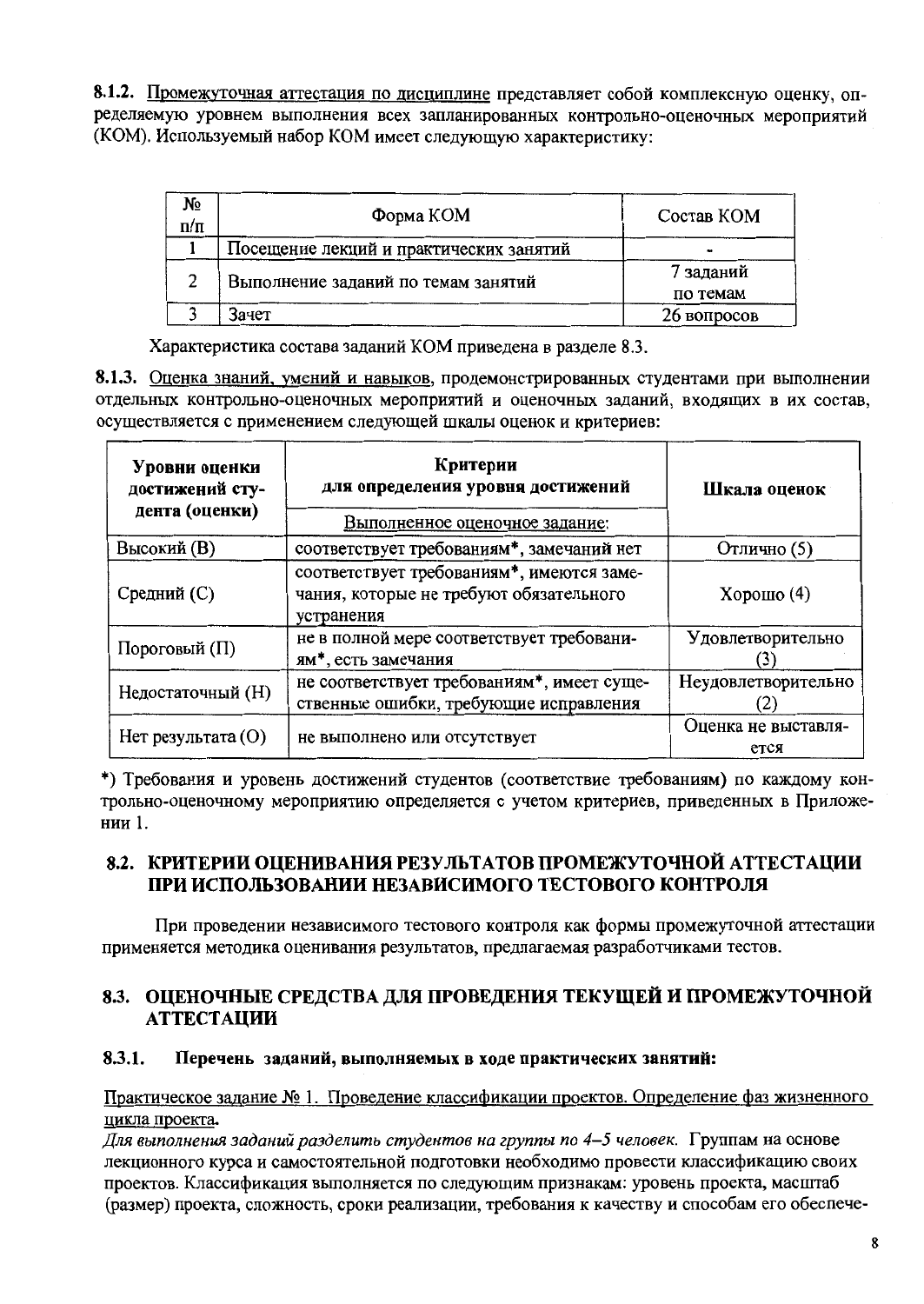8.1.2. Промежуточная аттестация по дисциплине представляет собой комплексную оценку, определяемую уровнем выполнения всех запланированных контрольно-оценочных мероприятий (КОМ). Используемый набор КОМ имеет следующую характеристику:

| №<br>$\Pi/\Pi$ | Форма КОМ                               | Состав КОМ  |
|----------------|-----------------------------------------|-------------|
|                | Посещение лекций и практических занятий |             |
| າ              | Выполнение заданий по темам занятий     | 7 заданий   |
|                |                                         | по темам    |
|                | Зачет                                   | 26 вопросов |

Характеристика состава заданий КОМ приведена в разделе 8.3.

8.1.3. Оценка знаний, умений и навыков, продемонстрированных студентами при выполнении отдельных контрольно-оценочных мероприятий и оценочных заданий, входящих в их состав, осуществляется с применением следующей шкалы оценок и критериев:

| Уровни оценки<br>достижений сту-<br>дента (оценки) | Критерии<br>для определения уровня достижений                                                      | Шкала оценок                |  |  |
|----------------------------------------------------|----------------------------------------------------------------------------------------------------|-----------------------------|--|--|
|                                                    | Выполненное оценочное задание:                                                                     |                             |  |  |
| <b>Высокий</b> (B)                                 | соответствует требованиям*, замечаний нет                                                          | Отлично (5)                 |  |  |
| Средний (С)                                        | соответствует требованиям*, имеются заме-<br>чания, которые не требуют обязательного<br>устранения | Хорошо $(4)$                |  |  |
| Пороговый (П)                                      | не в полной мере соответствует требовани-<br>ям*, есть замечания                                   | Удовлетворительно           |  |  |
| Недостаточный (H)                                  | не соответствует требованиям*, имеет суще-<br>ственные ошибки, требующие исправления               | Неудовлетворительно         |  |  |
| $Her$ результата $(O)$                             | не выполнено или отсутствует                                                                       | Оценка не выставля-<br>ется |  |  |

\*) Требования и уровень достижений студентов (соответствие требованиям) по каждому контрольно-оценочному мероприятию определяется с учетом критериев, приведенных в Приложении 1.

# 8.2. КРИТЕРИИ ОЦЕНИВАНИЯ РЕЗУЛЬТАТОВ ПРОМЕЖУТОЧНОЙ АТТЕСТАЦИИ ПРИ ИСПОЛЬЗОВАНИИ НЕЗАВИСИМОГО ТЕСТОВОГО КОНТРОЛЯ

При проведении независимого тестового контроля как формы промежуточной аттестации применяется методика оценивания результатов, предлагаемая разработчиками тестов.

# 8.3. ОПЕНОЧНЫЕ СРЕДСТВА ДЛЯ ПРОВЕДЕНИЯ ТЕКУЩЕЙ И ПРОМЕЖУТОЧНОЙ **АТТЕСТАЦИИ**

#### $8.3.1.$ Перечень заданий, выполняемых в ходе практических занятий:

### Практическое задание № 1. Проведение классификации проектов. Определение фаз жизненного цикла проекта.

Для выполнения заданий разделить студентов на группы по 4-5 человек. Группам на основе лекционного курса и самостоятельной подготовки необходимо провести классификацию своих проектов. Классификация выполняется по следующим признакам: уровень проекта, масштаб (размер) проекта, сложность, сроки реализации, требования к качеству и способам его обеспече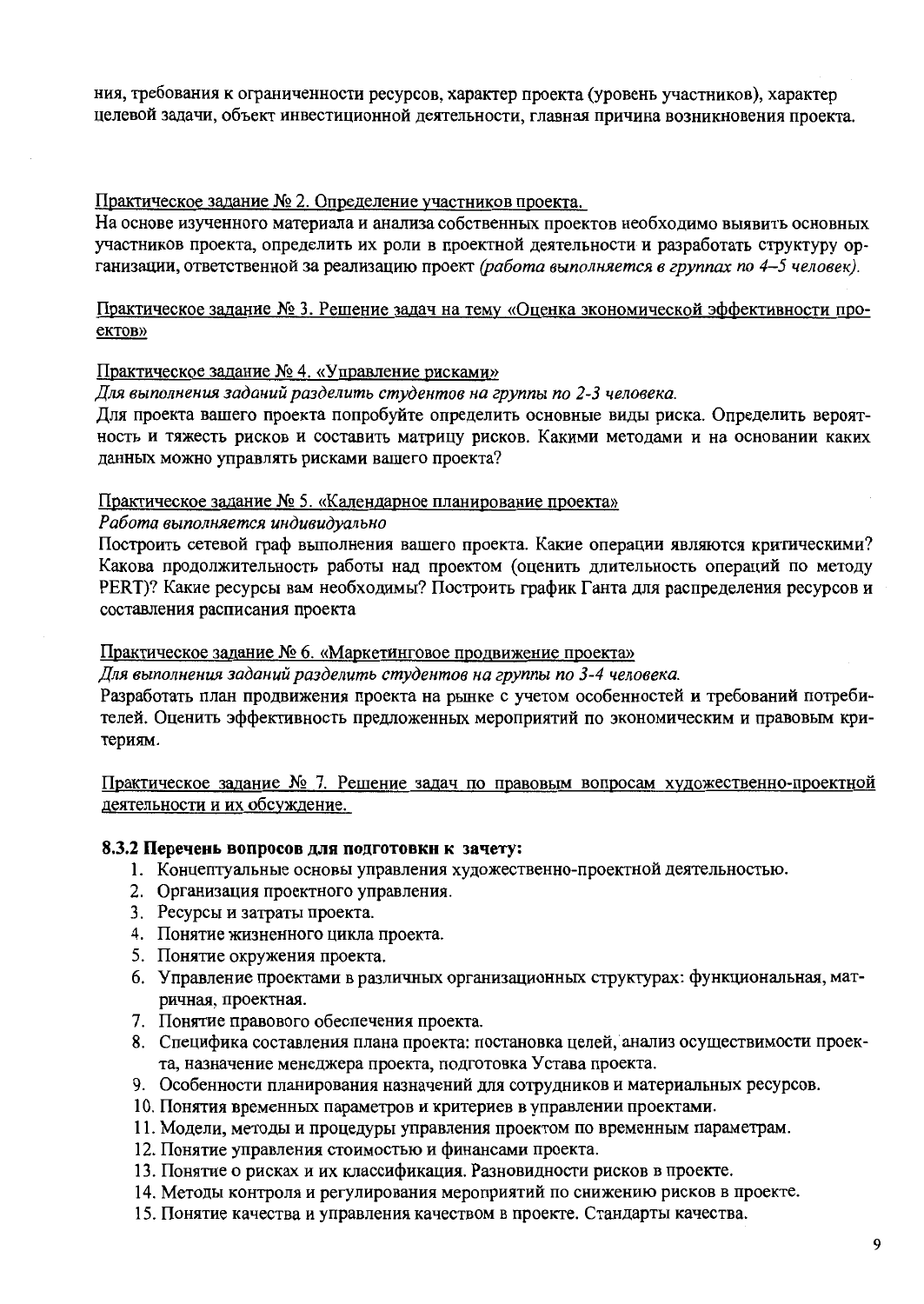ния, требования к ограниченности ресурсов, характер проекта (уровень участников), характер целевой задачи, объект инвестиционной деятельности, главная причина возникновения проекта.

### Практическое задание № 2. Определение участников проекта.

На основе изученного материала и анализа собственных проектов необходимо выявить основных участников проекта, определить их роли в проектной деятельности и разработать структуру организации, ответственной за реализацию проект (работа выполняется в группах по 4-5 человек).

### Практическое задание № 3. Решение задач на тему «Оценка экономической эффективности проeктов»

### Практическое задание № 4. «Управление рисками»

Для выполнения заданий разделить студентов на группы по 2-3 человека.

Для проекта вашего проекта попробуйте определить основные виды риска. Определить вероятность и тяжесть рисков и составить матрицу рисков. Какими методами и на основании каких данных можно управлять рисками вашего проекта?

### Практическое задание № 5. «Календарное планирование проекта»

#### Работа выполняется индивидуально

Построить сетевой граф выполнения вашего проекта. Какие операции являются критическими? Какова продолжительность работы над проектом (оценить длительность операций по методу РЕКТ)? Какие ресурсы вам необходимы? Построить график Ганта для распределения ресурсов и составления расписания проекта

### Практическое задание № 6. «Маркетинговое продвижение проекта»

Для выполнения заданий разделить студентов на группы по 3-4 человека.

Разработать план продвижения проекта на рынке с учетом особенностей и требований потребителей. Оценить эффективность предложенных мероприятий по экономическим и правовым критериям.

Практическое задание № 7. Решение задач по правовым вопросам художественно-проектной деятельности и их обсуждение.

### 8.3.2 Перечень вопросов для подготовки к зачету:

- 1. Концептуальные основы управления художественно-проектной деятельностью.
- 2. Организация проектного управления.
- 3. Ресурсы и затраты проекта.
- 4. Понятие жизненного цикла проекта.
- 5. Понятие окружения проекта.
- 6. Управление проектами в различных организационных структурах: функциональная, матричная, проектная.
- 7. Понятие правового обеспечения проекта.
- 8. Специфика составления плана проекта: постановка целей, анализ осуществимости проекта, назначение менеджера проекта, подготовка Устава проекта.
- 9. Особенности планирования назначений для сотрудников и материальных ресурсов.
- 10. Понятия временных параметров и критериев в управлении проектами.
- 11. Модели, методы и процедуры управления проектом по временным параметрам.
- 12. Понятие управления стоимостью и финансами проекта.
- 13. Понятие о рисках и их классификация. Разновидности рисков в проекте.
- 14. Методы контроля и регулирования мероприятий по снижению рисков в проекте.
- 15. Понятие качества и управления качеством в проекте. Стандарты качества.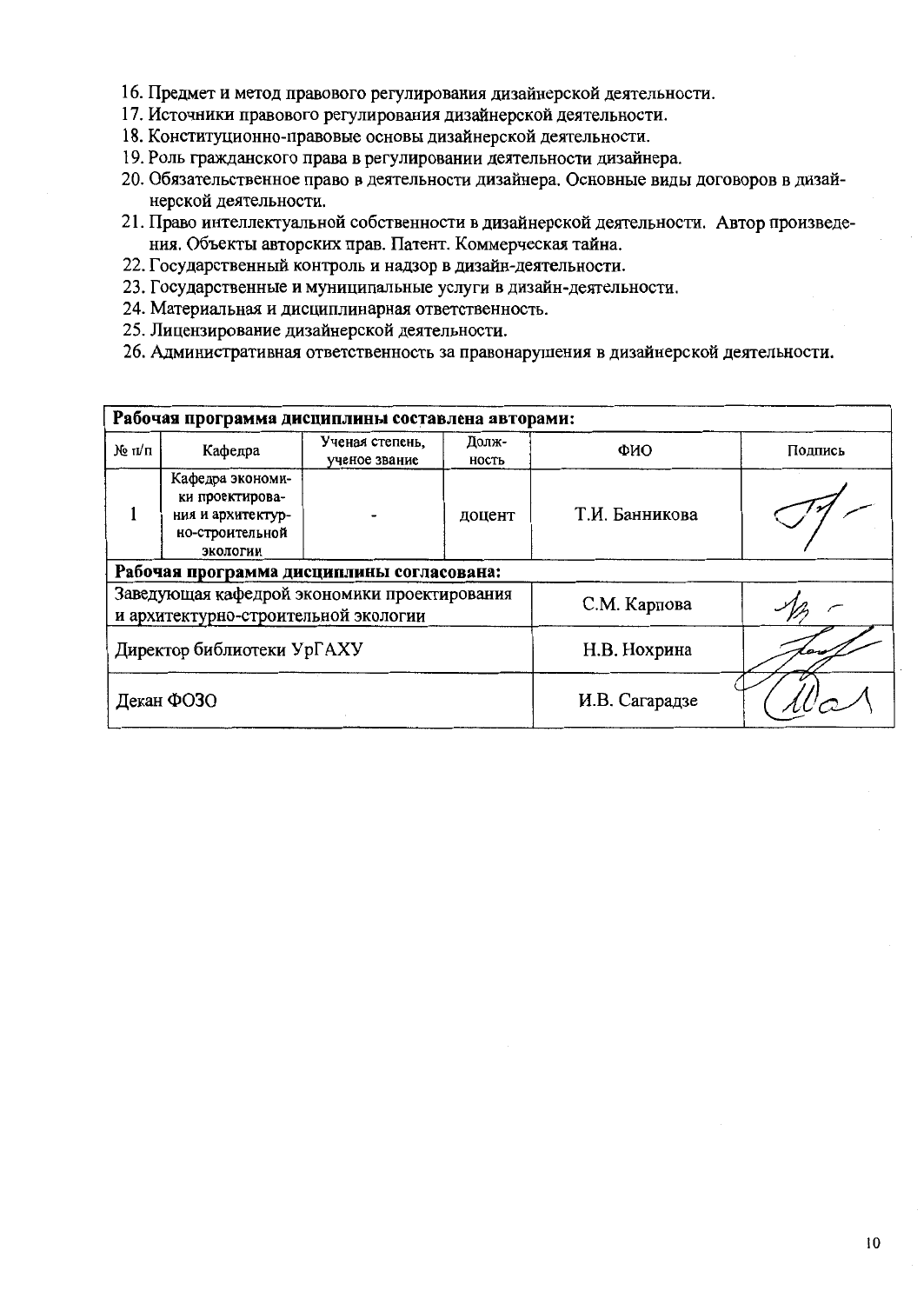- 16. Предмет и метод правового регулирования дизайнерской деятельности.
- 17. Источники правового регулирования дизайнерской деятельности.
- 18. Конституционно-правовые основы дизайнерской деятельности.
- 19. Роль гражданского права в регулировании деятельности дизайнера.
- 20. Обязательственное право в деятельности дизайнера. Основные виды договоров в дизайнерской деятельности.
- 21. Право интеллектуальной собственности в дизайнерской деятельности. Автор произведения. Объекты авторских прав. Патент. Коммерческая тайна.
- 22. Государственный контроль и надзор в дизайн-деятельности.
- 23. Государственные и муниципальные услуги в дизайн-деятельности.
- 24. Материальная и дисциплинарная ответственность.
- 25. Лицензирование дизайнерской деятельности.
- 26. Административная ответственность за правонарушения в дизайнерской деятельности.

| Рабочая программа дисциплины составлена авторами: |                                                                                         |                                  |                |                |         |  |  |  |
|---------------------------------------------------|-----------------------------------------------------------------------------------------|----------------------------------|----------------|----------------|---------|--|--|--|
| $N_2$ π/π                                         | Кафедра                                                                                 | Ученая степень,<br>ученое звание | Долж-<br>ность | ФИО            | Подпись |  |  |  |
|                                                   | Кафедра экономи-<br>ки проектирова-<br>ния и архитектур-<br>но-строительной<br>экологии |                                  | доцент         | Т.И. Банникова |         |  |  |  |
|                                                   | Рабочая программа дисциплины согласована:                                               |                                  |                |                |         |  |  |  |
|                                                   | Заведующая кафедрой экономики проектирования<br>и архитектурно-строительной экологии    |                                  | С.М. Карпова   |                |         |  |  |  |
| Директор библиотеки УрГАХУ                        |                                                                                         |                                  | Н.В. Нохрина   |                |         |  |  |  |
| Декан ФОЗО                                        |                                                                                         |                                  |                | И.В. Сагарадзе |         |  |  |  |